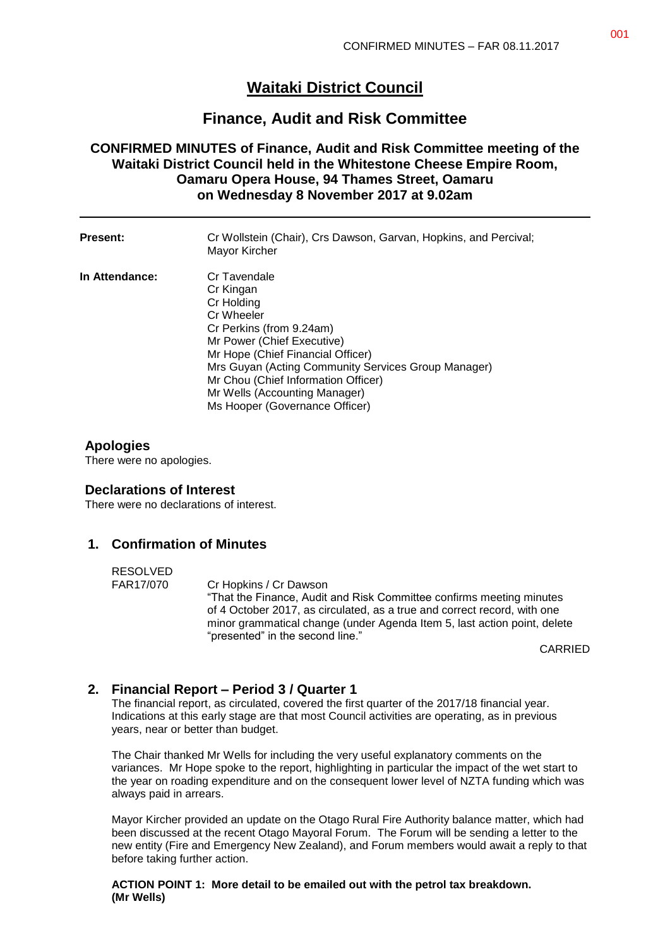# **Waitaki District Council**

## **Finance, Audit and Risk Committee**

## **CONFIRMED MINUTES of Finance, Audit and Risk Committee meeting of the Waitaki District Council held in the Whitestone Cheese Empire Room, Oamaru Opera House, 94 Thames Street, Oamaru on Wednesday 8 November 2017 at 9.02am**

| <b>Present:</b> | Cr Wollstein (Chair), Crs Dawson, Garvan, Hopkins, and Percival;<br>Mayor Kircher                                                                                                                                                                                                                                     |
|-----------------|-----------------------------------------------------------------------------------------------------------------------------------------------------------------------------------------------------------------------------------------------------------------------------------------------------------------------|
| In Attendance:  | Cr Tavendale<br>Cr Kingan<br>Cr Holding<br>Cr Wheeler<br>Cr Perkins (from 9.24am)<br>Mr Power (Chief Executive)<br>Mr Hope (Chief Financial Officer)<br>Mrs Guyan (Acting Community Services Group Manager)<br>Mr Chou (Chief Information Officer)<br>Mr Wells (Accounting Manager)<br>Ms Hooper (Governance Officer) |

### **Apologies**

There were no apologies.

#### **Declarations of Interest**

There were no declarations of interest.

### **1. Confirmation of Minutes**

RESOLVED

FAR17/070 Cr Hopkins / Cr Dawson "That the Finance, Audit and Risk Committee confirms meeting minutes of 4 October 2017, as circulated, as a true and correct record, with one minor grammatical change (under Agenda Item 5, last action point, delete "presented" in the second line."

CARRIED

## **2. Financial Report – Period 3 / Quarter 1**

The financial report, as circulated, covered the first quarter of the 2017/18 financial year. Indications at this early stage are that most Council activities are operating, as in previous years, near or better than budget.

The Chair thanked Mr Wells for including the very useful explanatory comments on the variances. Mr Hope spoke to the report, highlighting in particular the impact of the wet start to the year on roading expenditure and on the consequent lower level of NZTA funding which was always paid in arrears.

Mayor Kircher provided an update on the Otago Rural Fire Authority balance matter, which had been discussed at the recent Otago Mayoral Forum. The Forum will be sending a letter to the new entity (Fire and Emergency New Zealand), and Forum members would await a reply to that before taking further action.

**ACTION POINT 1: More detail to be emailed out with the petrol tax breakdown. (Mr Wells)**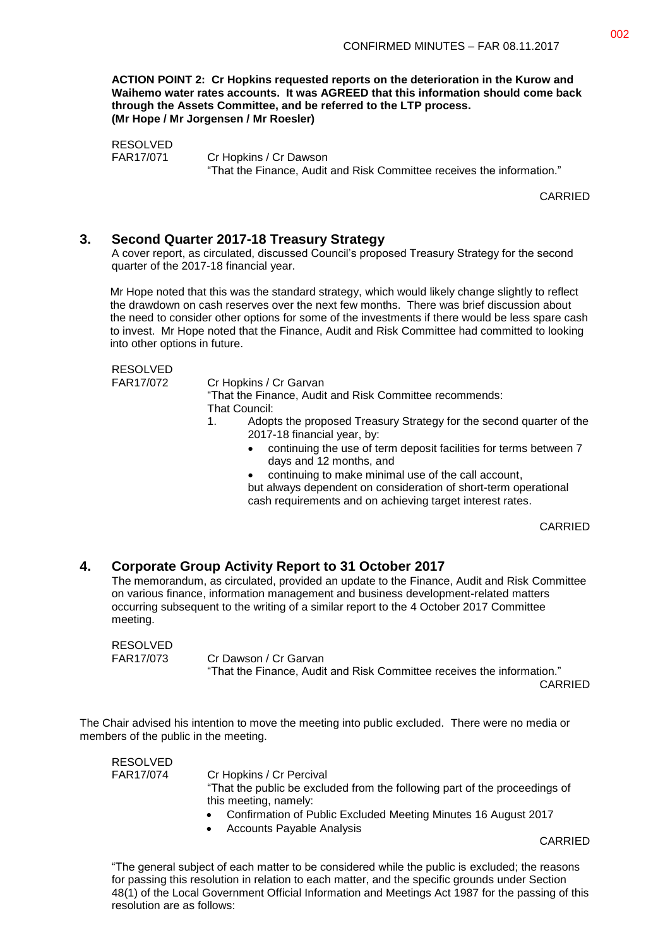**ACTION POINT 2: Cr Hopkins requested reports on the deterioration in the Kurow and Waihemo water rates accounts. It was AGREED that this information should come back through the Assets Committee, and be referred to the LTP process. (Mr Hope / Mr Jorgensen / Mr Roesler)**

RESOLVED FAR17/071 Cr Hopkins / Cr Dawson "That the Finance, Audit and Risk Committee receives the information."

CARRIED

#### **3. Second Quarter 2017-18 Treasury Strategy**

A cover report, as circulated, discussed Council's proposed Treasury Strategy for the second quarter of the 2017-18 financial year.

Mr Hope noted that this was the standard strategy, which would likely change slightly to reflect the drawdown on cash reserves over the next few months. There was brief discussion about the need to consider other options for some of the investments if there would be less spare cash to invest. Mr Hope noted that the Finance, Audit and Risk Committee had committed to looking into other options in future.

RESOLVED

FAR17/072 Cr Hopkins / Cr Garvan

"That the Finance, Audit and Risk Committee recommends: That Council:

- 1. Adopts the proposed Treasury Strategy for the second quarter of the 2017-18 financial year, by:
	- continuing the use of term deposit facilities for terms between 7 days and 12 months, and
	- continuing to make minimal use of the call account,

but always dependent on consideration of short-term operational cash requirements and on achieving target interest rates.

CARRIED

## **4. Corporate Group Activity Report to 31 October 2017**

The memorandum, as circulated, provided an update to the Finance, Audit and Risk Committee on various finance, information management and business development-related matters occurring subsequent to the writing of a similar report to the 4 October 2017 Committee meeting.

RESOLVED FAR17/073 Cr Dawson / Cr Garvan "That the Finance, Audit and Risk Committee receives the information."

CARRIED

The Chair advised his intention to move the meeting into public excluded. There were no media or members of the public in the meeting.

| RESOLVED  |                                                                                                     |
|-----------|-----------------------------------------------------------------------------------------------------|
| FAR17/074 | Cr Hopkins / Cr Percival                                                                            |
|           | "That the public be excluded from the following part of the proceedings of<br>this meeting, namely: |
|           | Confirmation of Public Excluded Meeting Minutes 16 August 2017                                      |
|           | .                                                                                                   |

• Accounts Payable Analysis

CARRIED

"The general subject of each matter to be considered while the public is excluded; the reasons for passing this resolution in relation to each matter, and the specific grounds under Section 48(1) of the Local Government Official Information and Meetings Act 1987 for the passing of this resolution are as follows: